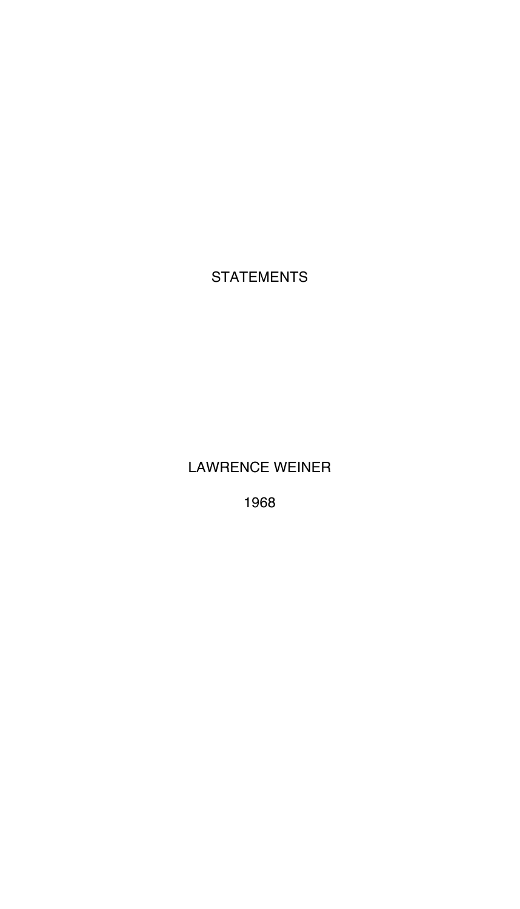STATEMENTS

LAWRENCE WEINER

1968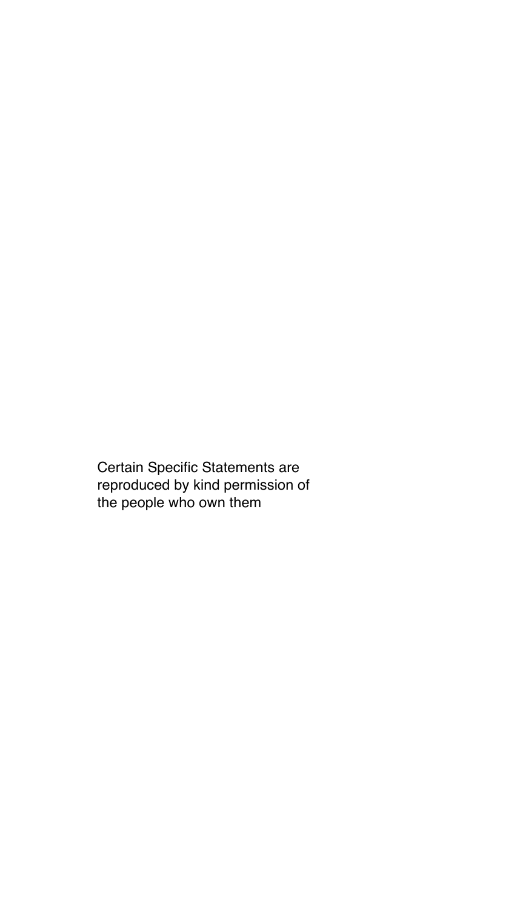Certain Specific Statements are reproduced by kind permission of the people who own them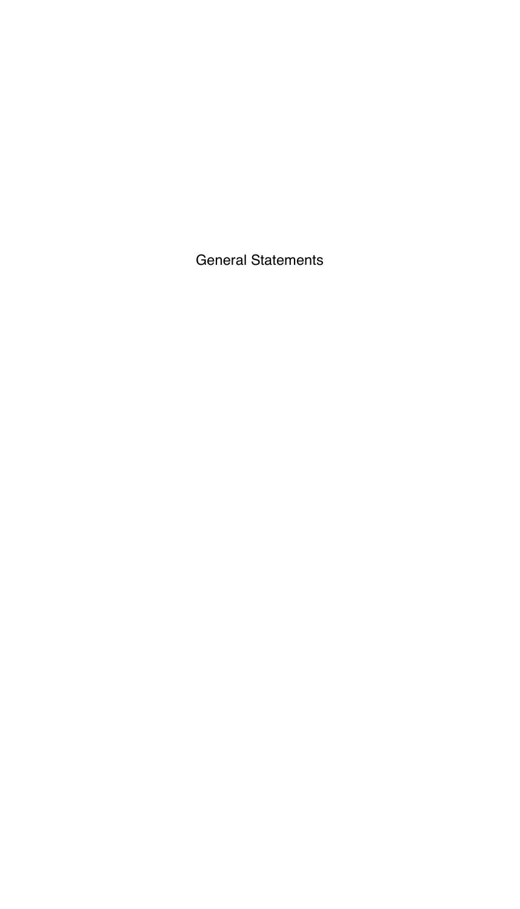General Statements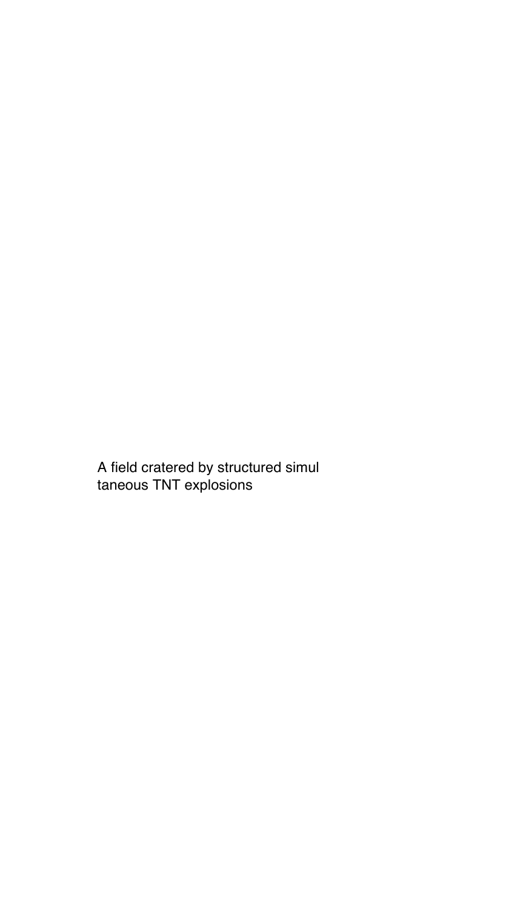A field cratered by structured simul taneous TNT explosions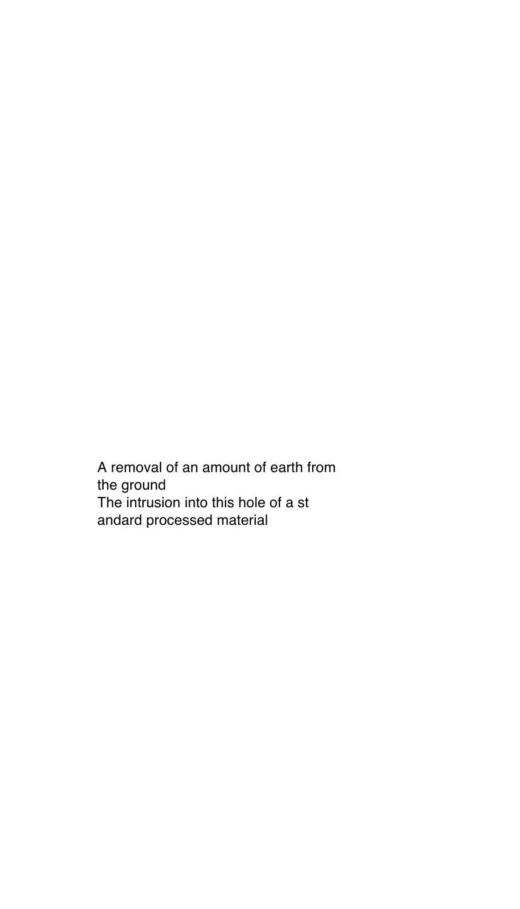A removal of an amount of earth from the ground The intrusion into this hole of a st andard processed material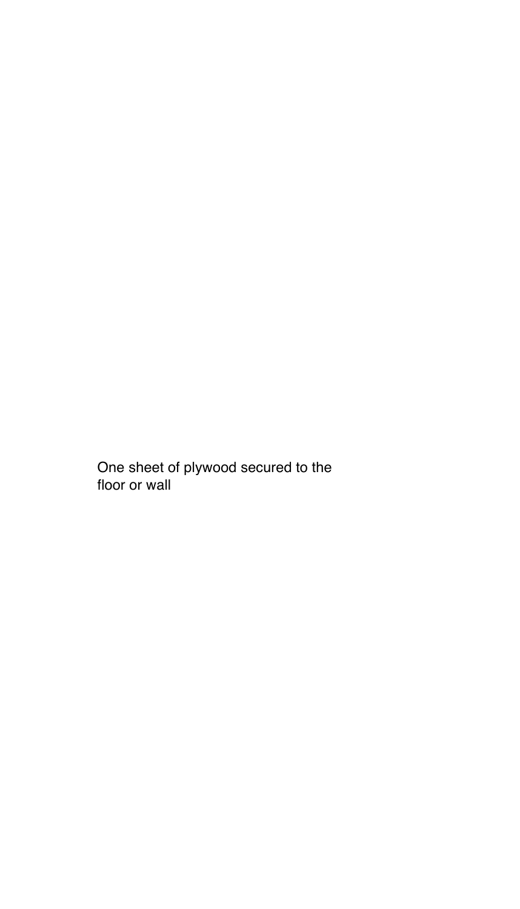One sheet of plywood secured to the floor or wall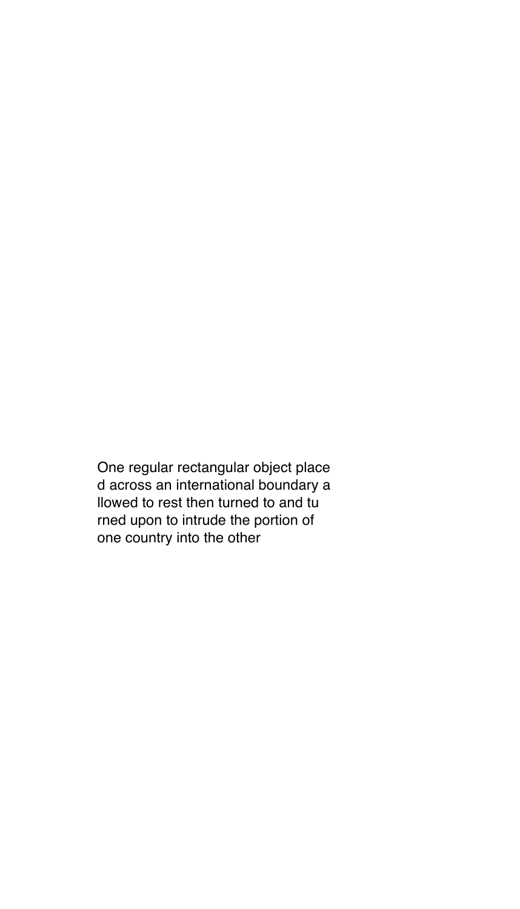One regular rectangular object place d across an international boundary a llowed to rest then turned to and tu rned upon to intrude the portion of one country into the other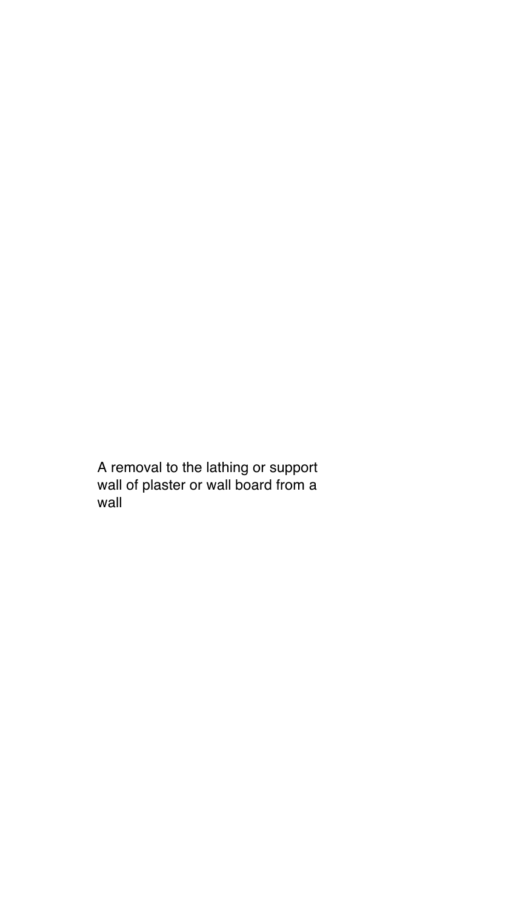A removal to the lathing or support wall of plaster or wall board from a wall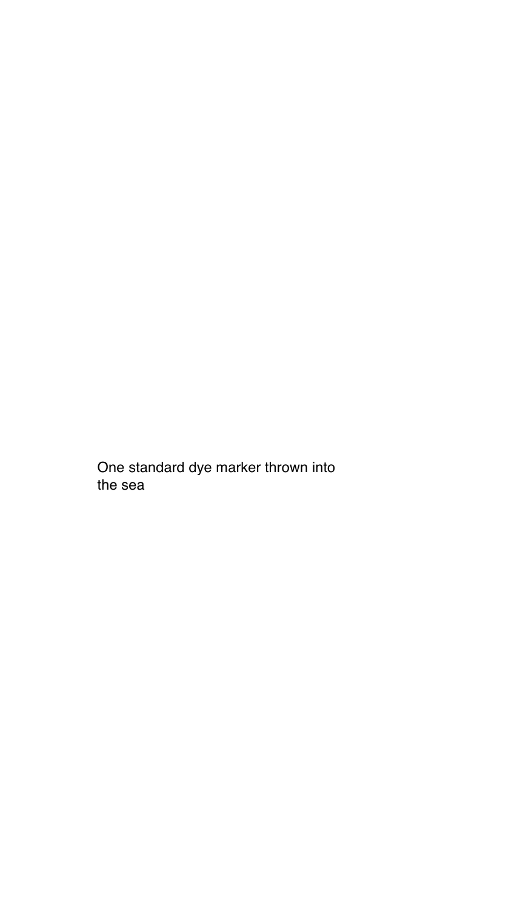One standard dye marker thrown into the sea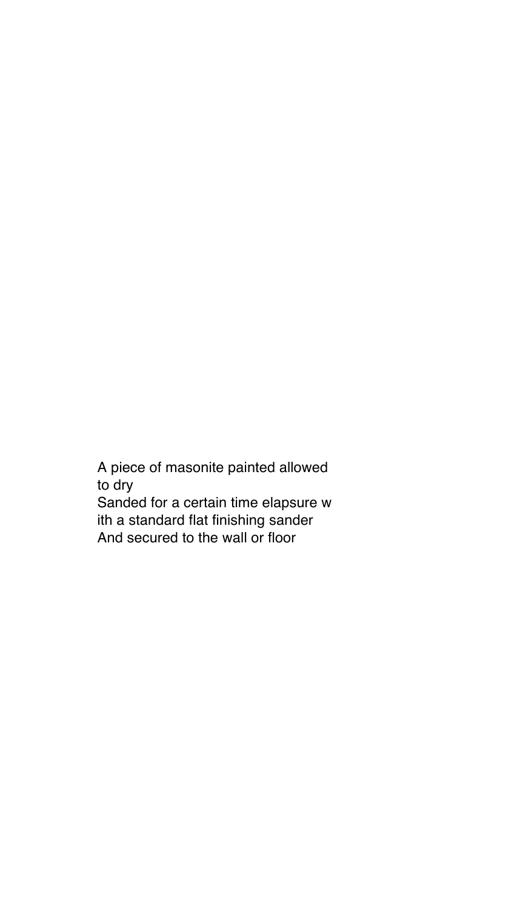A piece of masonite painted allowed to dry Sanded for a certain time elapsure w ith a standard flat finishing sander And secured to the wall or floor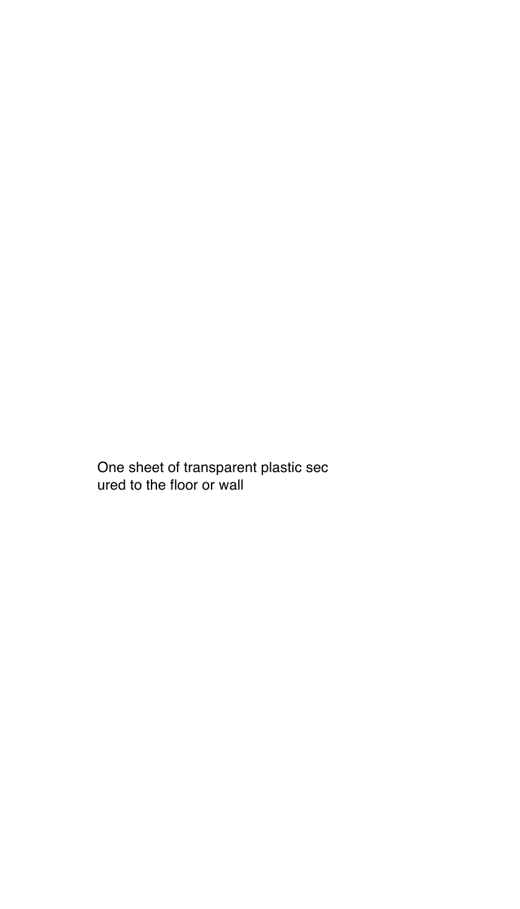One sheet of transparent plastic sec ured to the floor or wall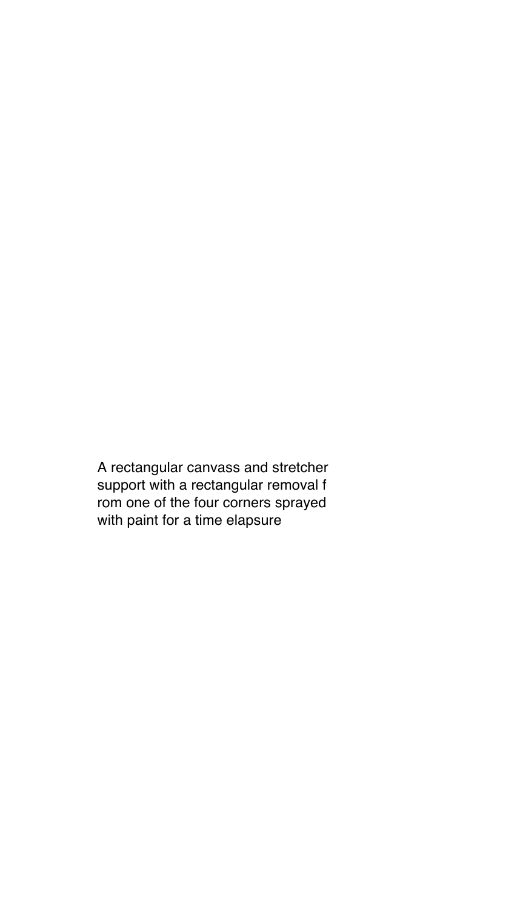A rectangular canvass and stretcher support with a rectangular removal f rom one of the four corners sprayed with paint for a time elapsure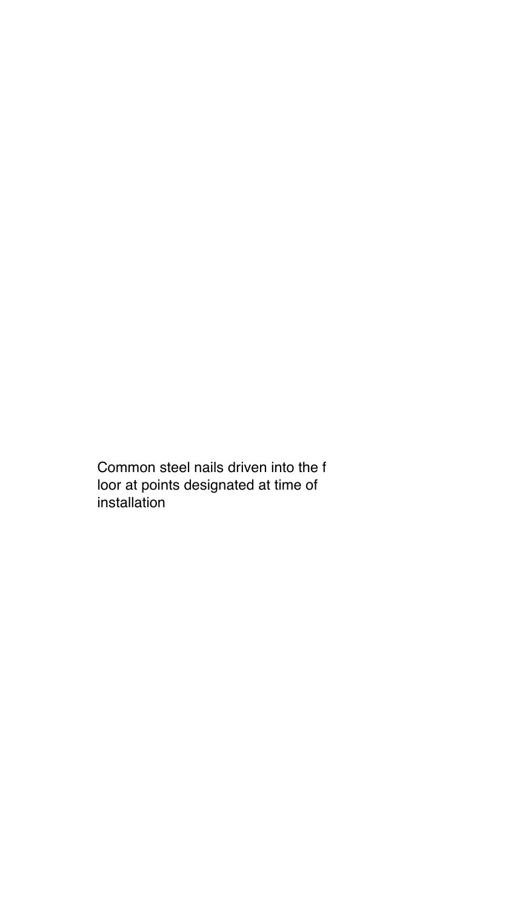Common steel nails driven into the f loor at points designated at time of installation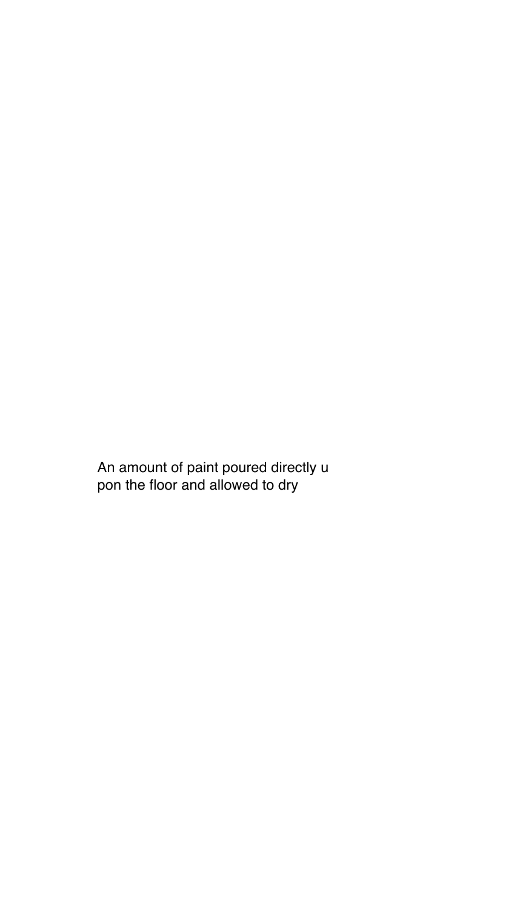An amount of paint poured directly u pon the floor and allowed to dry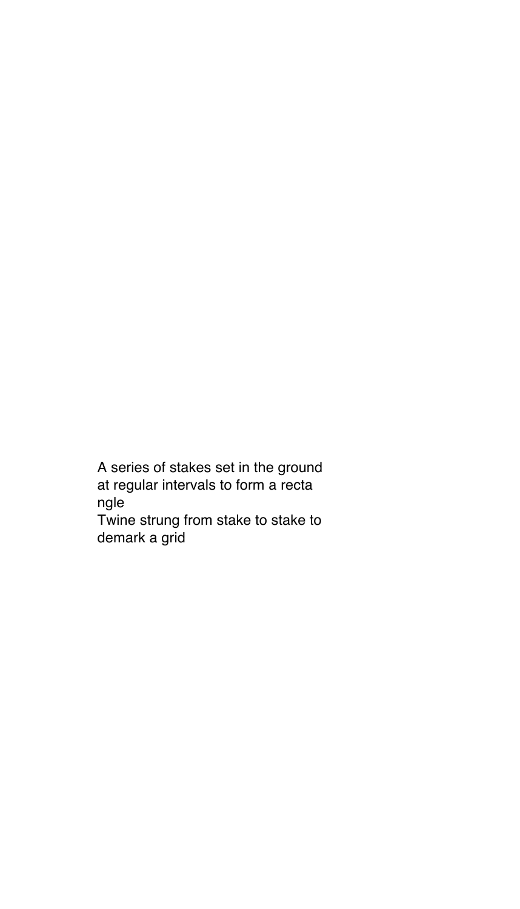A series of stakes set in the ground at regular intervals to form a recta ngle Twine strung from stake to stake to

demark a grid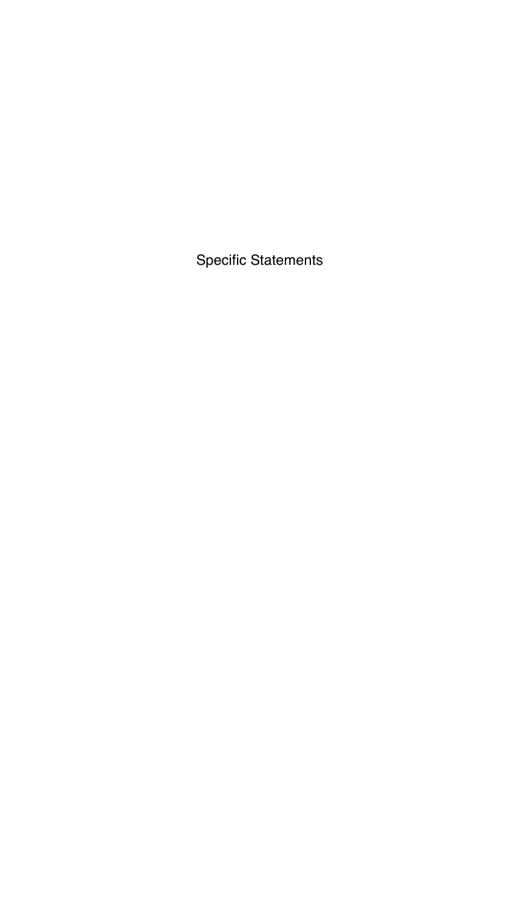Specific Statements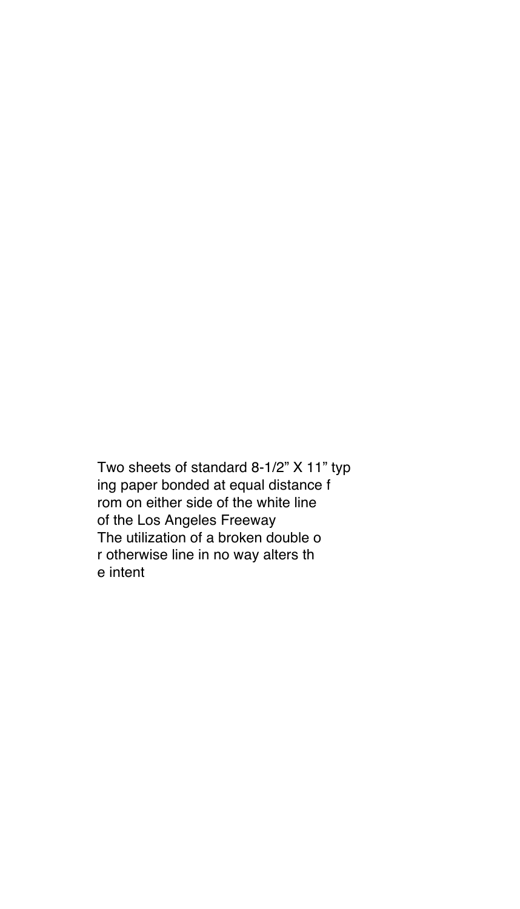Two sheets of standard 8-1/2" X 11" typ ing paper bonded at equal distance f rom on either side of the white line of the Los Angeles Freeway The utilization of a broken double o r otherwise line in no way alters th e intent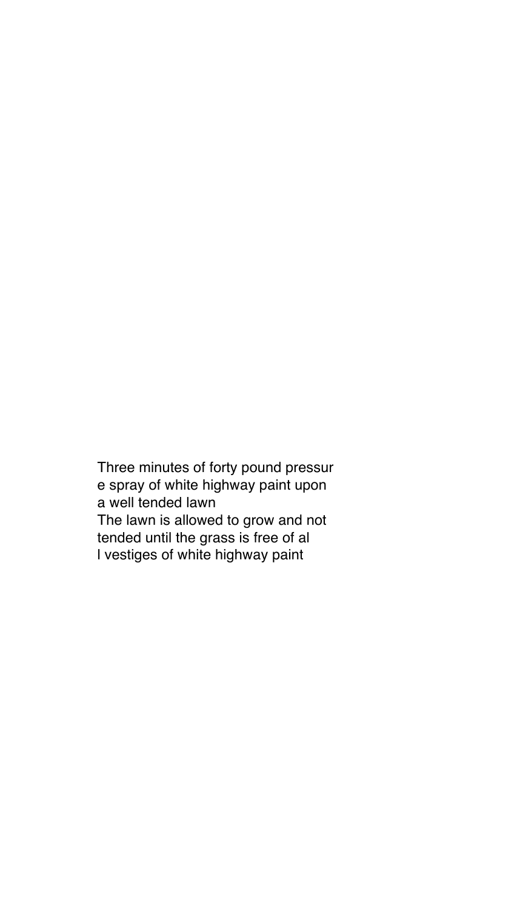Three minutes of forty pound pressur e spray of white highway paint upon a well tended lawn The lawn is allowed to grow and not tended until the grass is free of al l vestiges of white highway paint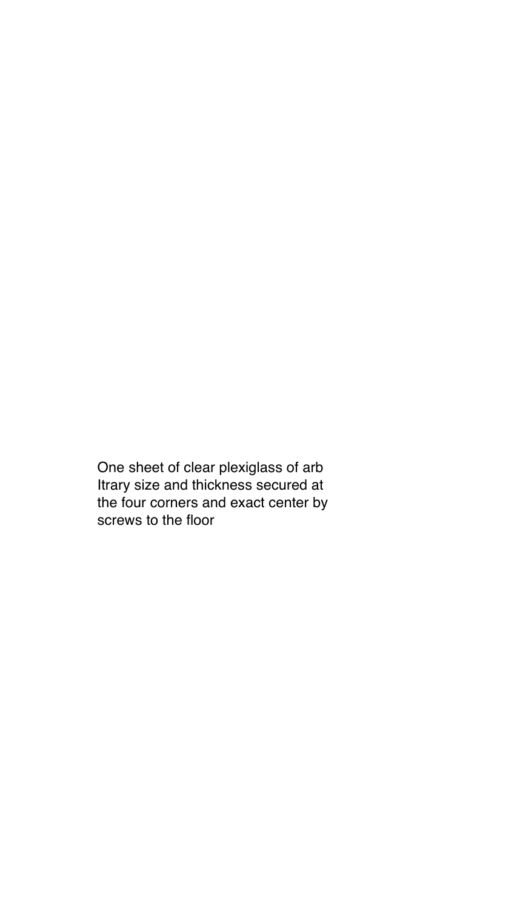One sheet of clear plexiglass of arb Itrary size and thickness secured at the four corners and exact center by screws to the floor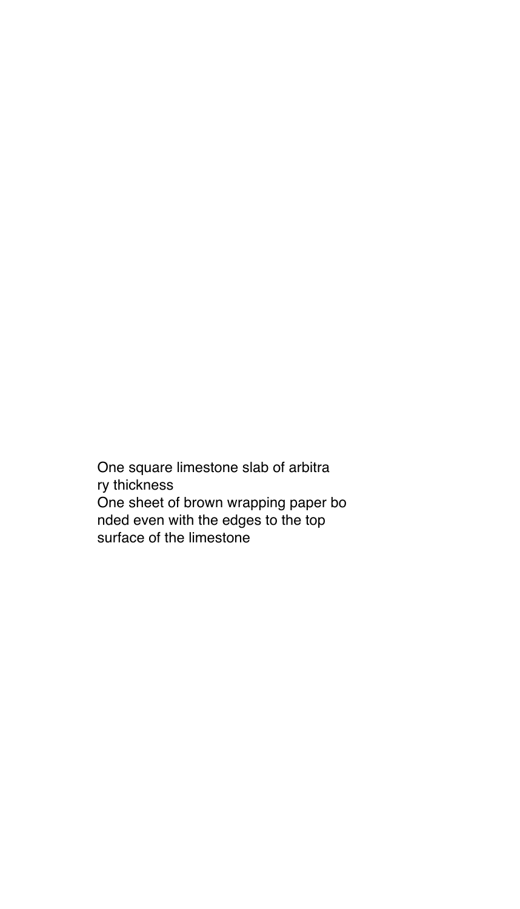One square limestone slab of arbitra ry thickness One sheet of brown wrapping paper bo nded even with the edges to the top surface of the limestone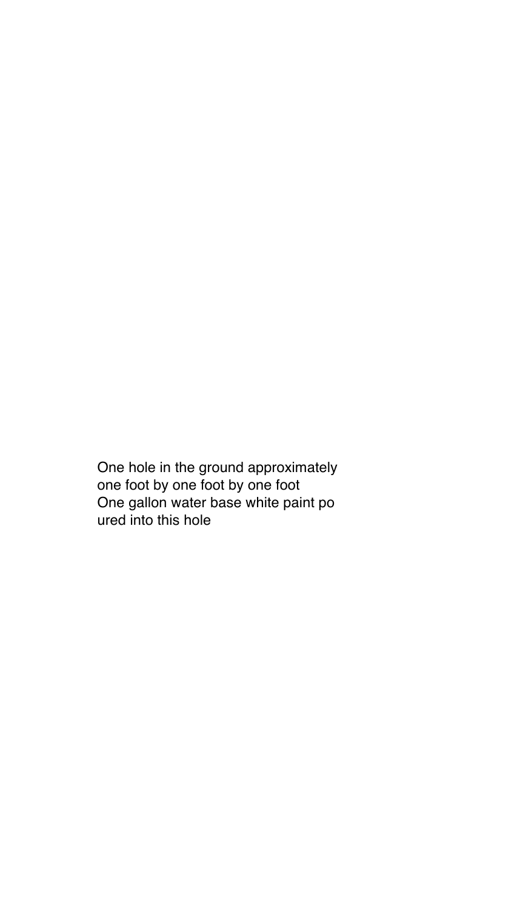One hole in the ground approximately one foot by one foot by one foot One gallon water base white paint po ured into this hole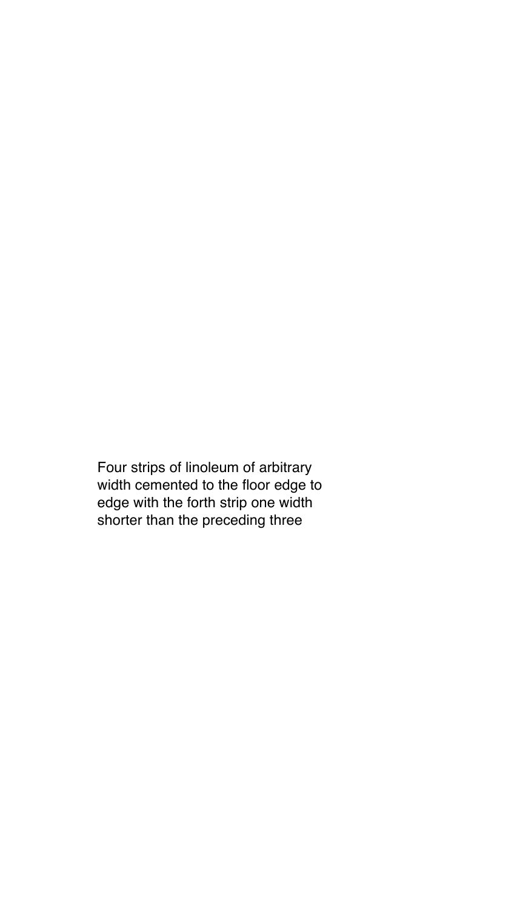Four strips of linoleum of arbitrary width cemented to the floor edge to edge with the forth strip one width shorter than the preceding three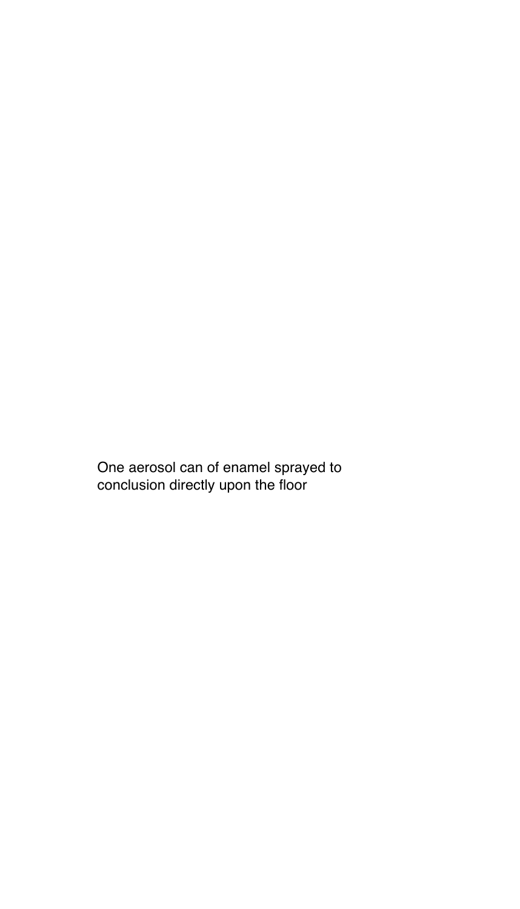One aerosol can of enamel sprayed to conclusion directly upon the floor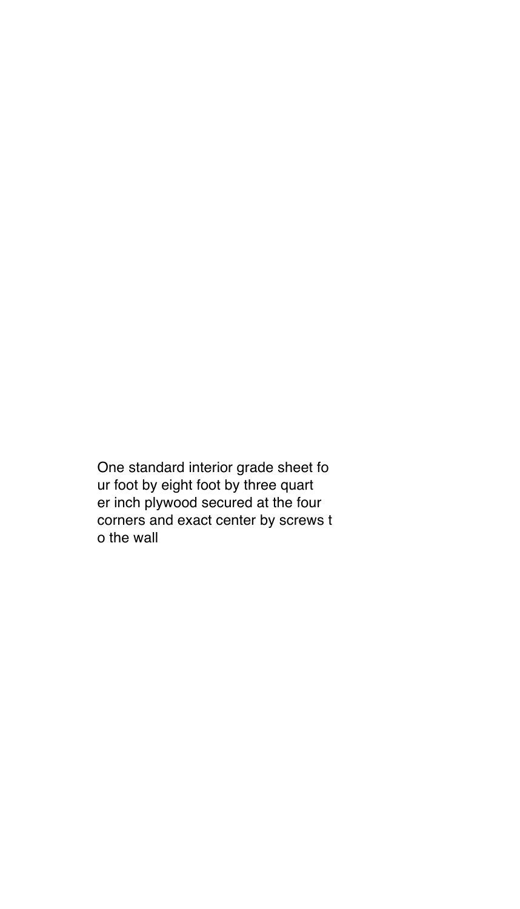One standard interior grade sheet fo ur foot by eight foot by three quart er inch plywood secured at the four corners and exact center by screws t o the wall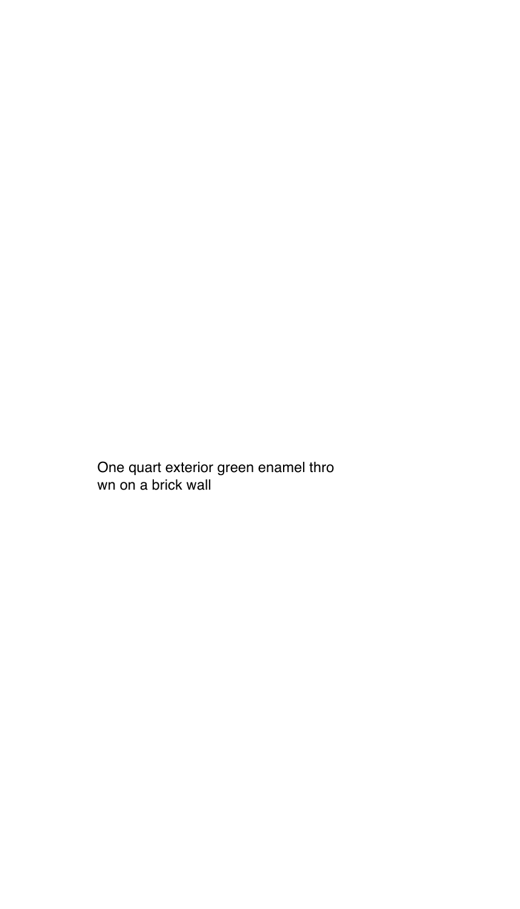One quart exterior green enamel thro wn on a brick wall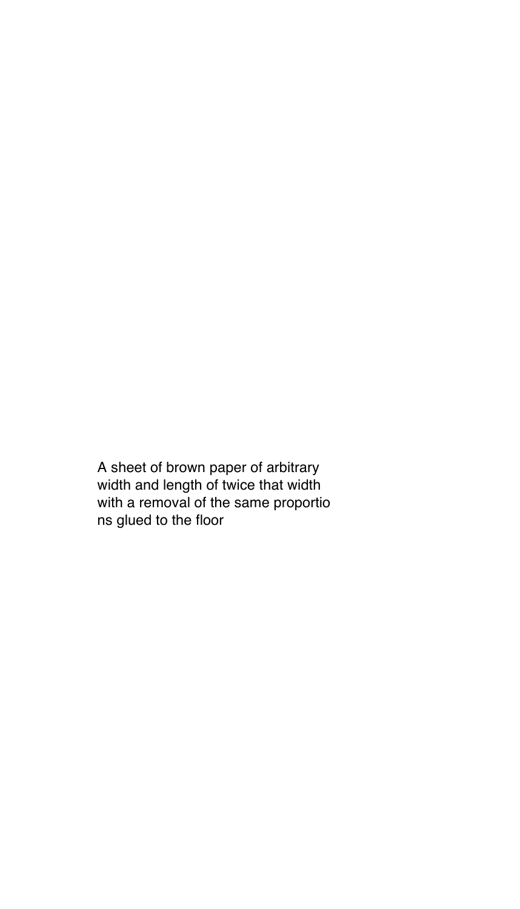A sheet of brown paper of arbitrary width and length of twice that width with a removal of the same proportio ns glued to the floor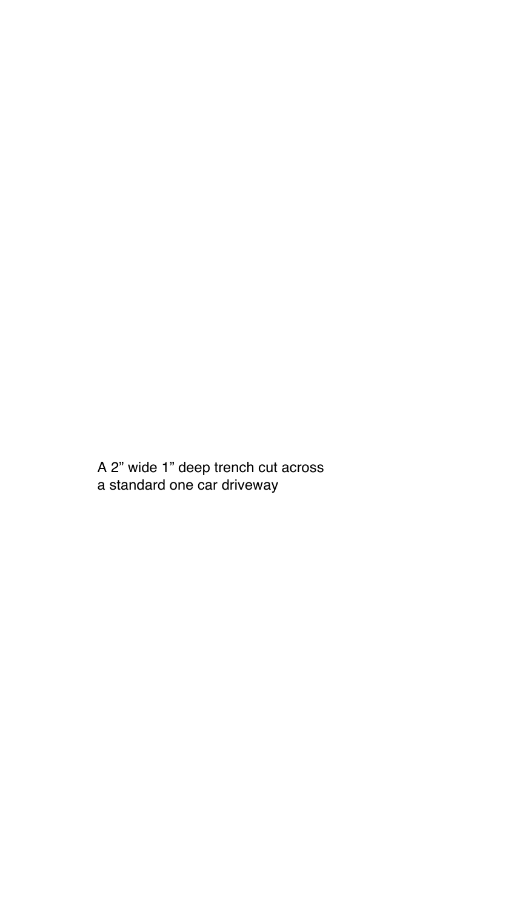A 2" wide 1" deep trench cut across a standard one car driveway